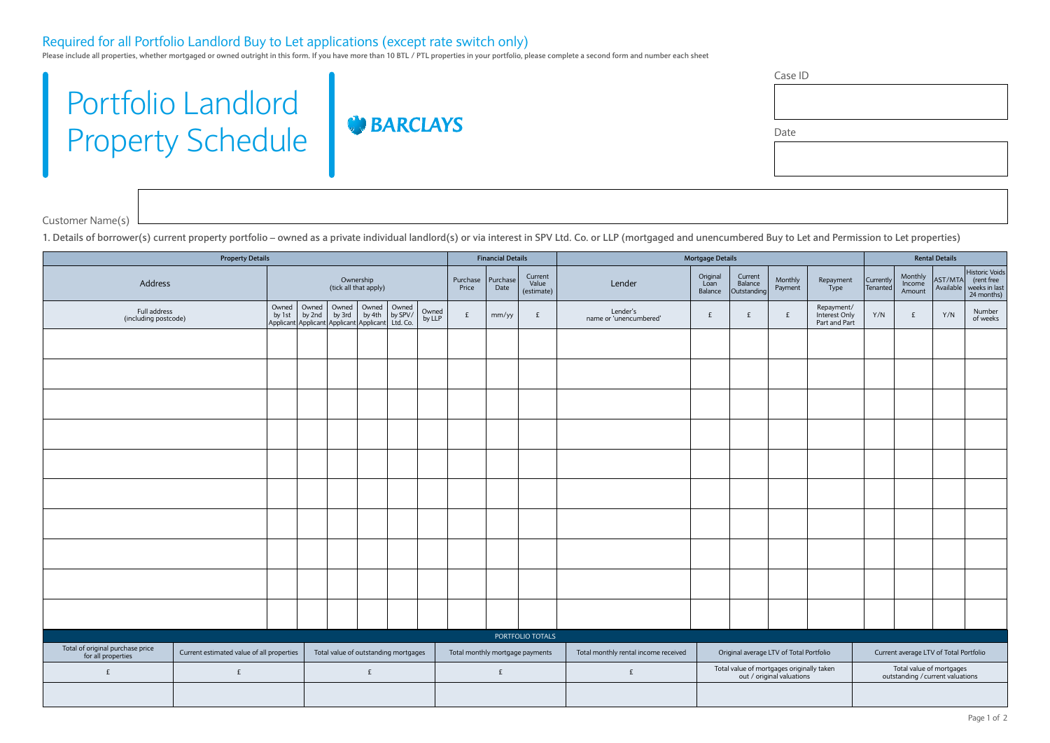## Required for all Portfolio Landlord Buy to Let applications (except rate switch only)

Please include all properties, whether mortgaged or owned outright in this form. If you have more than 10 BTL / PTL properties in your portfolio, please complete a second form and number each sheet

**BARCLAYS** 

## Portfolio Landlord Property Schedule

Case ID

Date

Customer Name(s)

**1. Details of borrower(s) current property portfolio – owned as a private individual landlord(s) or via interest in SPV Ltd. Co. or LLP (mortgaged and unencumbered Buy to Let and Permission to Let properties)**

| <b>Property Details</b>                                |                                           |                   |                  |                                | <b>Financial Details</b>                                                                                                         |                                      |                                   | <b>Mortgage Details</b><br><b>Rental Details</b> |                   |                       |                                      |                      |                                                                        |   |                                              |     |                                                              |     |                    |
|--------------------------------------------------------|-------------------------------------------|-------------------|------------------|--------------------------------|----------------------------------------------------------------------------------------------------------------------------------|--------------------------------------|-----------------------------------|--------------------------------------------------|-------------------|-----------------------|--------------------------------------|----------------------|------------------------------------------------------------------------|---|----------------------------------------------|-----|--------------------------------------------------------------|-----|--------------------|
| Ownership<br>Address<br>(tick all that apply)          |                                           | Purchase<br>Price | Purchase<br>Date | Current<br>Value<br>(estimate) | Lender                                                                                                                           | Original<br>Loan<br>Balance          | Current<br>Balance<br>Outstanding | Monthly<br>Payment                               | Repayment<br>Type | Currently<br>Tenanted | Monthly<br>Income<br>Amount          | AST/MTA<br>Available | Historic Voids<br>(rent free<br>weeks in last<br>24 months)            |   |                                              |     |                                                              |     |                    |
| Full address<br>(including postcode)                   |                                           |                   |                  |                                | Owned   Owned   Owned   Owned   Owned<br>by 1st by 2nd by 3rd by 4th by SPV/<br>Applicant Applicant Applicant Applicant Ltd. Co. |                                      | Owned<br>by LLP                   | £                                                | mm/yy             | £                     | Lender's<br>name or 'unencumbered'   | $\mathbf{f}$         | $\mathbf{f}$                                                           | £ | Repayment/<br>Interest Only<br>Part and Part | Y/N | £                                                            | Y/N | Number<br>of weeks |
|                                                        |                                           |                   |                  |                                |                                                                                                                                  |                                      |                                   |                                                  |                   |                       |                                      |                      |                                                                        |   |                                              |     |                                                              |     |                    |
|                                                        |                                           |                   |                  |                                |                                                                                                                                  |                                      |                                   |                                                  |                   |                       |                                      |                      |                                                                        |   |                                              |     |                                                              |     |                    |
|                                                        |                                           |                   |                  |                                |                                                                                                                                  |                                      |                                   |                                                  |                   |                       |                                      |                      |                                                                        |   |                                              |     |                                                              |     |                    |
|                                                        |                                           |                   |                  |                                |                                                                                                                                  |                                      |                                   |                                                  |                   |                       |                                      |                      |                                                                        |   |                                              |     |                                                              |     |                    |
|                                                        |                                           |                   |                  |                                |                                                                                                                                  |                                      |                                   |                                                  |                   |                       |                                      |                      |                                                                        |   |                                              |     |                                                              |     |                    |
|                                                        |                                           |                   |                  |                                |                                                                                                                                  |                                      |                                   |                                                  |                   |                       |                                      |                      |                                                                        |   |                                              |     |                                                              |     |                    |
|                                                        |                                           |                   |                  |                                |                                                                                                                                  |                                      |                                   |                                                  |                   |                       |                                      |                      |                                                                        |   |                                              |     |                                                              |     |                    |
|                                                        |                                           |                   |                  |                                |                                                                                                                                  |                                      |                                   |                                                  |                   |                       |                                      |                      |                                                                        |   |                                              |     |                                                              |     |                    |
|                                                        |                                           |                   |                  |                                |                                                                                                                                  |                                      |                                   |                                                  |                   |                       |                                      |                      |                                                                        |   |                                              |     |                                                              |     |                    |
|                                                        |                                           |                   |                  |                                |                                                                                                                                  |                                      |                                   |                                                  |                   |                       |                                      |                      |                                                                        |   |                                              |     |                                                              |     |                    |
|                                                        |                                           |                   |                  |                                |                                                                                                                                  |                                      |                                   |                                                  |                   |                       |                                      |                      |                                                                        |   |                                              |     |                                                              |     |                    |
| PORTFOLIO TOTALS                                       |                                           |                   |                  |                                |                                                                                                                                  |                                      |                                   |                                                  |                   |                       |                                      |                      |                                                                        |   |                                              |     |                                                              |     |                    |
| Total of original purchase price<br>for all properties | Current estimated value of all properties |                   |                  |                                |                                                                                                                                  | Total value of outstanding mortgages |                                   | Total monthly mortgage payments                  |                   |                       | Total monthly rental income received |                      | Original average LTV of Total Portfolio                                |   |                                              |     | Current average LTV of Total Portfolio                       |     |                    |
| £                                                      | £                                         |                   |                  |                                | £                                                                                                                                |                                      |                                   |                                                  | £                 |                       | £                                    |                      | Total value of mortgages originally taken<br>out / original valuations |   |                                              |     | Total value of mortgages<br>outstanding / current valuations |     |                    |
|                                                        |                                           |                   |                  |                                |                                                                                                                                  |                                      |                                   |                                                  |                   |                       |                                      |                      |                                                                        |   |                                              |     |                                                              |     |                    |